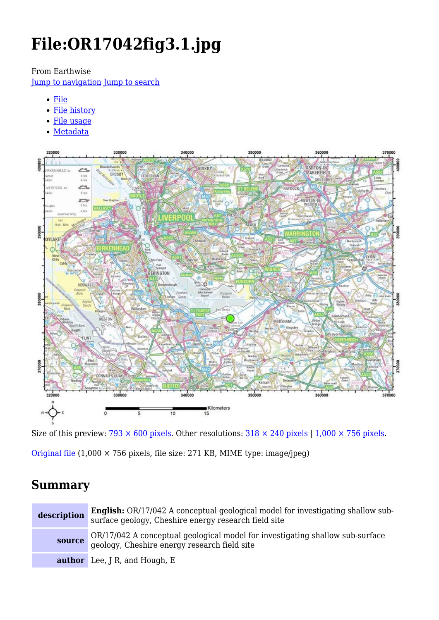# **File:OR17042fig3.1.jpg**

#### From Earthwise

[Jump to navigation](#page--1-0) [Jump to search](#page--1-0)

- [File](#page--1-0)
- [File history](#page--1-0)
- [File usage](#page--1-0)
- [Metadata](#page--1-0)



Size of this preview:  $\frac{793 \times 600 \text{ pixels}}{298}$ . Other resolutions:  $\frac{318 \times 240 \text{ pixels}}{1,000 \times 756 \text{ pixels}}$ .

[Original file](http://earthwise.bgs.ac.uk/images/0/0e/OR17042fig3.1.jpg) (1,000 × 756 pixels, file size: 271 KB, MIME type: image/jpeg)

# **Summary**

| description | <b>English:</b> OR/17/042 A conceptual geological model for investigating shallow sub-<br>surface geology, Cheshire energy research field site |
|-------------|------------------------------------------------------------------------------------------------------------------------------------------------|
|             | <b>source</b> OR/17/042 A conceptual geological model for investigating shallow sub-surface geology, Cheshire energy research field site       |
|             | <b>author</b> Lee, J R, and Hough, E                                                                                                           |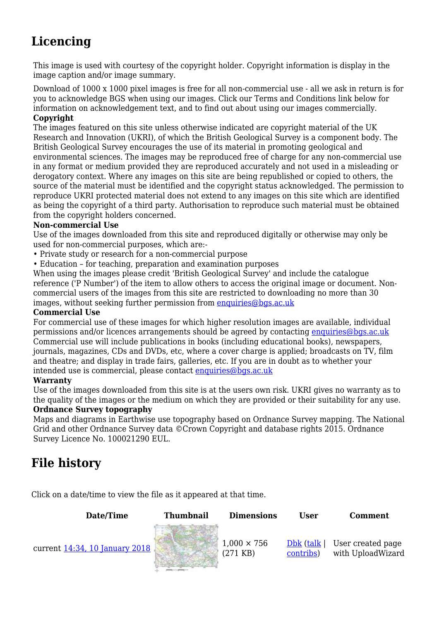# **Licencing**

This image is used with courtesy of the copyright holder. Copyright information is display in the image caption and/or image summary.

Download of 1000 x 1000 pixel images is free for all non-commercial use - all we ask in return is for you to acknowledge BGS when using our images. Click our Terms and Conditions link below for information on acknowledgement text, and to find out about using our images commercially. **Copyright**

The images featured on this site unless otherwise indicated are copyright material of the UK Research and Innovation (UKRI), of which the British Geological Survey is a component body. The British Geological Survey encourages the use of its material in promoting geological and environmental sciences. The images may be reproduced free of charge for any non-commercial use in any format or medium provided they are reproduced accurately and not used in a misleading or derogatory context. Where any images on this site are being republished or copied to others, the source of the material must be identified and the copyright status acknowledged. The permission to reproduce UKRI protected material does not extend to any images on this site which are identified as being the copyright of a third party. Authorisation to reproduce such material must be obtained from the copyright holders concerned.

#### **Non-commercial Use**

Use of the images downloaded from this site and reproduced digitally or otherwise may only be used for non-commercial purposes, which are:-

- Private study or research for a non-commercial purpose
- Education for teaching, preparation and examination purposes

When using the images please credit 'British Geological Survey' and include the catalogue reference ('P Number') of the item to allow others to access the original image or document. Noncommercial users of the images from this site are restricted to downloading no more than 30 images, without seeking further permission from [enquiries@bgs.ac.uk](mailto:enquiries@bgs.ac.uk)

#### **Commercial Use**

For commercial use of these images for which higher resolution images are available, individual permissions and/or licences arrangements should be agreed by contacting [enquiries@bgs.ac.uk](mailto:enquiries@bgs.ac.uk) Commercial use will include publications in books (including educational books), newspapers, journals, magazines, CDs and DVDs, etc, where a cover charge is applied; broadcasts on TV, film and theatre; and display in trade fairs, galleries, etc. If you are in doubt as to whether your intended use is commercial, please contact [enquiries@bgs.ac.uk](mailto:enquiries@bgs.ac.uk)

#### **Warranty**

Use of the images downloaded from this site is at the users own risk. UKRI gives no warranty as to the quality of the images or the medium on which they are provided or their suitability for any use.

#### **Ordnance Survey topography**

Maps and diagrams in Earthwise use topography based on Ordnance Survey mapping. The National Grid and other Ordnance Survey data ©Crown Copyright and database rights 2015. Ordnance Survey Licence No. 100021290 EUL.

# **File history**

Click on a date/time to view the file as it appeared at that time.

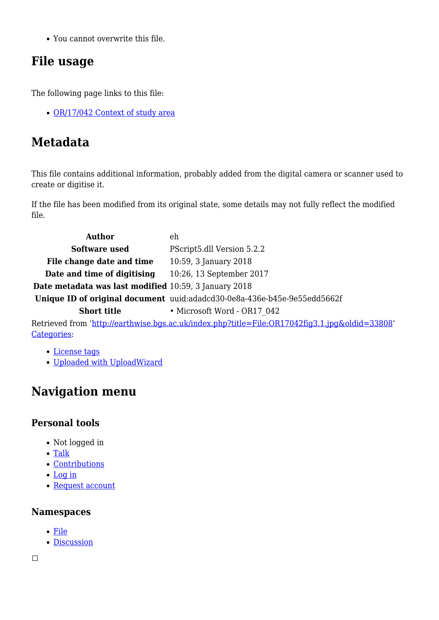You cannot overwrite this file.

# **File usage**

The following page links to this file:

• [OR/17/042 Context of study area](http://earthwise.bgs.ac.uk/index.php/OR/17/042_Context_of_study_area)

# **Metadata**

This file contains additional information, probably added from the digital camera or scanner used to create or digitise it.

If the file has been modified from its original state, some details may not fully reflect the modified file.

| <b>Author</b>                                         | eh                                                                                             |
|-------------------------------------------------------|------------------------------------------------------------------------------------------------|
| Software used                                         | PScript5.dll Version 5.2.2                                                                     |
| File change date and time                             | 10:59, 3 January 2018                                                                          |
| Date and time of digitising                           | 10:26, 13 September 2017                                                                       |
| Date metadata was last modified 10:59, 3 January 2018 |                                                                                                |
|                                                       | Unique ID of original document uuid:adadcd30-0e8a-436e-b45e-9e55edd5662f                       |
| <b>Short title</b>                                    | • Microsoft Word - OR17 042                                                                    |
|                                                       | Retrieved from 'http://earthwise.bgs.ac.uk/index.php?title=File:OR17042fig3.1.jpg&oldid=33808' |
| Categories:                                           |                                                                                                |

#### [License tags](http://earthwise.bgs.ac.uk/index.php/Category:License_tags)

[Uploaded with UploadWizard](http://earthwise.bgs.ac.uk/index.php/Category:Uploaded_with_UploadWizard)

# **Navigation menu**

## **Personal tools**

- Not logged in
- [Talk](http://earthwise.bgs.ac.uk/index.php/Special:MyTalk)
- [Contributions](http://earthwise.bgs.ac.uk/index.php/Special:MyContributions)
- [Log in](http://earthwise.bgs.ac.uk/index.php?title=Special:UserLogin&returnto=File%3AOR17042fig3.1.jpg&returntoquery=action%3Dmpdf)
- [Request account](http://earthwise.bgs.ac.uk/index.php/Special:RequestAccount)

### **Namespaces**

- [File](http://earthwise.bgs.ac.uk/index.php/File:OR17042fig3.1.jpg)
- [Discussion](http://earthwise.bgs.ac.uk/index.php?title=File_talk:OR17042fig3.1.jpg&action=edit&redlink=1)

 $\overline{\phantom{a}}$